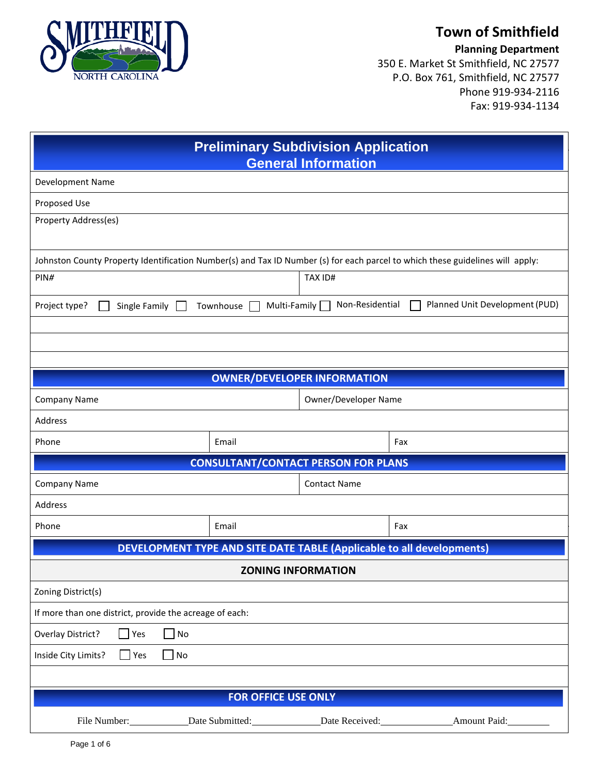

## **Town of Smithfield**

**Planning Department**

350 E. Market St Smithfield, NC 27577 P.O. Box 761, Smithfield, NC 27577 Phone 919-934-2116 Fax: 919-934-1134

| <b>Preliminary Subdivision Application</b><br><b>General Information</b>                                                      |                                             |                                 |                                |  |
|-------------------------------------------------------------------------------------------------------------------------------|---------------------------------------------|---------------------------------|--------------------------------|--|
| Development Name                                                                                                              |                                             |                                 |                                |  |
| Proposed Use                                                                                                                  |                                             |                                 |                                |  |
| Property Address(es)                                                                                                          |                                             |                                 |                                |  |
| Johnston County Property Identification Number(s) and Tax ID Number (s) for each parcel to which these guidelines will apply: |                                             |                                 |                                |  |
| PIN#                                                                                                                          |                                             | <b>TAX ID#</b>                  |                                |  |
| Project type?<br>Single Family                                                                                                | Townhouse                                   | Non-Residential<br>Multi-Family | Planned Unit Development (PUD) |  |
|                                                                                                                               |                                             |                                 |                                |  |
|                                                                                                                               |                                             |                                 |                                |  |
|                                                                                                                               |                                             |                                 |                                |  |
|                                                                                                                               | <b>OWNER/DEVELOPER INFORMATION</b>          |                                 |                                |  |
|                                                                                                                               | Owner/Developer Name<br><b>Company Name</b> |                                 |                                |  |
| Address                                                                                                                       |                                             |                                 |                                |  |
| Phone                                                                                                                         | Email                                       |                                 | Fax                            |  |
| <b>CONSULTANT/CONTACT PERSON FOR PLANS</b>                                                                                    |                                             |                                 |                                |  |
| Company Name<br>Address                                                                                                       |                                             | <b>Contact Name</b>             |                                |  |
| Phone                                                                                                                         | Email                                       |                                 | Fax                            |  |
|                                                                                                                               |                                             |                                 |                                |  |
| <b>DEVELOPMENT TYPE AND SITE DATE TABLE (Applicable to all developments)</b>                                                  |                                             |                                 |                                |  |
|                                                                                                                               | <b>ZONING INFORMATION</b>                   |                                 |                                |  |
| Zoning District(s)                                                                                                            |                                             |                                 |                                |  |
| If more than one district, provide the acreage of each:                                                                       |                                             |                                 |                                |  |
| Overlay District?<br>Yes<br>$\operatorname{\mathsf{No}}$<br>$\mathsf{No}$                                                     |                                             |                                 |                                |  |
| Inside City Limits?<br>Yes                                                                                                    |                                             |                                 |                                |  |
| <b>FOR OFFICE USE ONLY</b>                                                                                                    |                                             |                                 |                                |  |
| File Number:                                                                                                                  | Date Submitted: Date Received:              |                                 | Amount Paid:                   |  |
|                                                                                                                               |                                             |                                 |                                |  |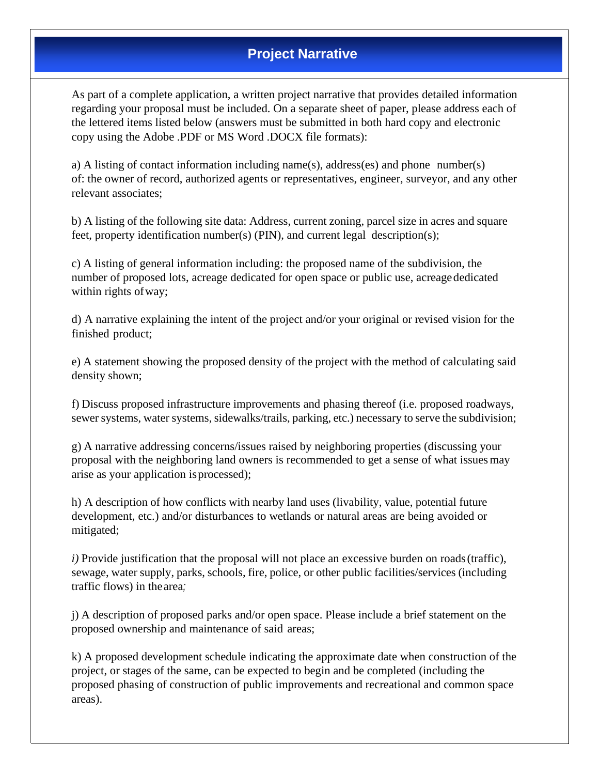## **Project Narrative**

As part of a complete application, a written project narrative that provides detailed information regarding your proposal must be included. On a separate sheet of paper, please address each of the lettered items listed below (answers must be submitted in both hard copy and electronic copy using the Adobe .PDF or MS Word .DOCX file formats):

a) A listing of contact information including name(s), address(es) and phone number(s) of: the owner of record, authorized agents or representatives, engineer, surveyor, and any other relevant associates;

b) A listing of the following site data: Address, current zoning, parcel size in acres and square feet, property identification number(s) (PIN), and current legal description(s);

c) A listing of general information including: the proposed name of the subdivision, the number of proposed lots, acreage dedicated for open space or public use, acreagededicated within rights of way;

d) A narrative explaining the intent of the project and/or your original or revised vision for the finished product;

e) A statement showing the proposed density of the project with the method of calculating said density shown;

f) Discuss proposed infrastructure improvements and phasing thereof (i.e. proposed roadways, sewer systems, water systems, sidewalks/trails, parking, etc.) necessary to serve the subdivision;

g) A narrative addressing concerns/issues raised by neighboring properties (discussing your proposal with the neighboring land owners is recommended to get a sense of what issues may arise as your application is processed);

h) A description of how conflicts with nearby land uses (livability, value, potential future development, etc.) and/or disturbances to wetlands or natural areas are being avoided or mitigated;

*i*) Provide justification that the proposal will not place an excessive burden on roads (traffic), sewage, water supply, parks, schools, fire, police, or other public facilities/services (including traffic flows) in thearea*;* 

j) A description of proposed parks and/or open space. Please include a brief statement on the proposed ownership and maintenance of said areas;

k) A proposed development schedule indicating the approximate date when construction of the project, or stages of the same, can be expected to begin and be completed (including the proposed phasing of construction of public improvements and recreational and common space areas).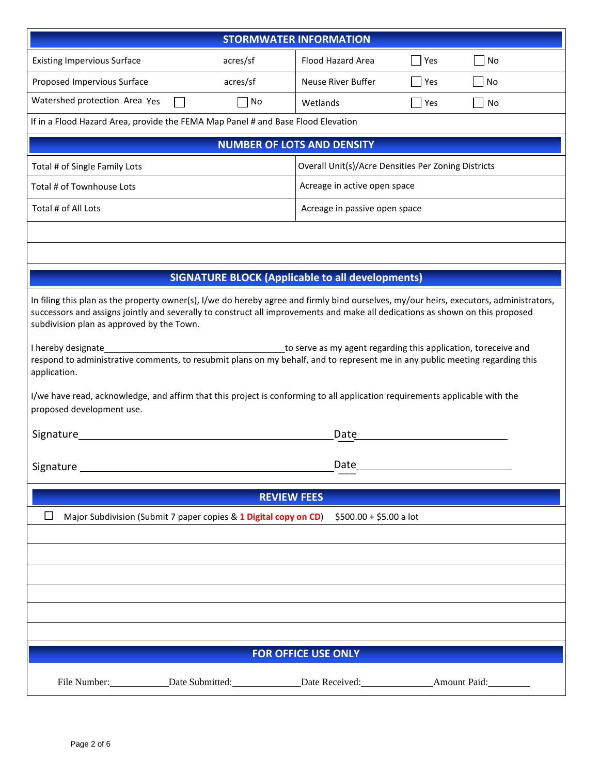|                                                                                                                                                                                                                                                                                                                                                                                                                                                                                                                                                                                                                                                                                                                                                              |                    | <b>STORMWATER INFORMATION</b>                           |     |    |
|--------------------------------------------------------------------------------------------------------------------------------------------------------------------------------------------------------------------------------------------------------------------------------------------------------------------------------------------------------------------------------------------------------------------------------------------------------------------------------------------------------------------------------------------------------------------------------------------------------------------------------------------------------------------------------------------------------------------------------------------------------------|--------------------|---------------------------------------------------------|-----|----|
| <b>Existing Impervious Surface</b>                                                                                                                                                                                                                                                                                                                                                                                                                                                                                                                                                                                                                                                                                                                           | acres/sf           | Flood Hazard Area                                       | Yes | No |
| Proposed Impervious Surface                                                                                                                                                                                                                                                                                                                                                                                                                                                                                                                                                                                                                                                                                                                                  | acres/sf           | Neuse River Buffer                                      | Yes | No |
| Watershed protection Area Yes                                                                                                                                                                                                                                                                                                                                                                                                                                                                                                                                                                                                                                                                                                                                | No                 | Wetlands                                                | Yes | No |
| If in a Flood Hazard Area, provide the FEMA Map Panel # and Base Flood Elevation                                                                                                                                                                                                                                                                                                                                                                                                                                                                                                                                                                                                                                                                             |                    |                                                         |     |    |
|                                                                                                                                                                                                                                                                                                                                                                                                                                                                                                                                                                                                                                                                                                                                                              |                    | <b>NUMBER OF LOTS AND DENSITY</b>                       |     |    |
| Overall Unit(s)/Acre Densities Per Zoning Districts<br>Total # of Single Family Lots                                                                                                                                                                                                                                                                                                                                                                                                                                                                                                                                                                                                                                                                         |                    |                                                         |     |    |
| Total # of Townhouse Lots                                                                                                                                                                                                                                                                                                                                                                                                                                                                                                                                                                                                                                                                                                                                    |                    | Acreage in active open space                            |     |    |
| Total # of All Lots                                                                                                                                                                                                                                                                                                                                                                                                                                                                                                                                                                                                                                                                                                                                          |                    | Acreage in passive open space                           |     |    |
|                                                                                                                                                                                                                                                                                                                                                                                                                                                                                                                                                                                                                                                                                                                                                              |                    |                                                         |     |    |
|                                                                                                                                                                                                                                                                                                                                                                                                                                                                                                                                                                                                                                                                                                                                                              |                    |                                                         |     |    |
|                                                                                                                                                                                                                                                                                                                                                                                                                                                                                                                                                                                                                                                                                                                                                              |                    | <b>SIGNATURE BLOCK (Applicable to all developments)</b> |     |    |
| In filing this plan as the property owner(s), I/we do hereby agree and firmly bind ourselves, my/our heirs, executors, administrators,<br>successors and assigns jointly and severally to construct all improvements and make all dedications as shown on this proposed<br>subdivision plan as approved by the Town.<br>I hereby designate<br>to serve as my agent regarding this application, toreceive and<br>respond to administrative comments, to resubmit plans on my behalf, and to represent me in any public meeting regarding this<br>application.<br>I/we have read, acknowledge, and affirm that this project is conforming to all application requirements applicable with the<br>proposed development use.<br>Signature<br>Date<br>Signature _ |                    |                                                         |     |    |
|                                                                                                                                                                                                                                                                                                                                                                                                                                                                                                                                                                                                                                                                                                                                                              | <b>REVIEW FEES</b> |                                                         |     |    |
| $\Box$<br>Major Subdivision (Submit 7 paper copies & 1 Digital copy on CD)<br>$$500.00 + $5.00$ a lot                                                                                                                                                                                                                                                                                                                                                                                                                                                                                                                                                                                                                                                        |                    |                                                         |     |    |
| <b>FOR OFFICE USE ONLY</b>                                                                                                                                                                                                                                                                                                                                                                                                                                                                                                                                                                                                                                                                                                                                   |                    |                                                         |     |    |
| File Number: Date Submitted: Date Received: Amount Paid: 2014                                                                                                                                                                                                                                                                                                                                                                                                                                                                                                                                                                                                                                                                                                |                    |                                                         |     |    |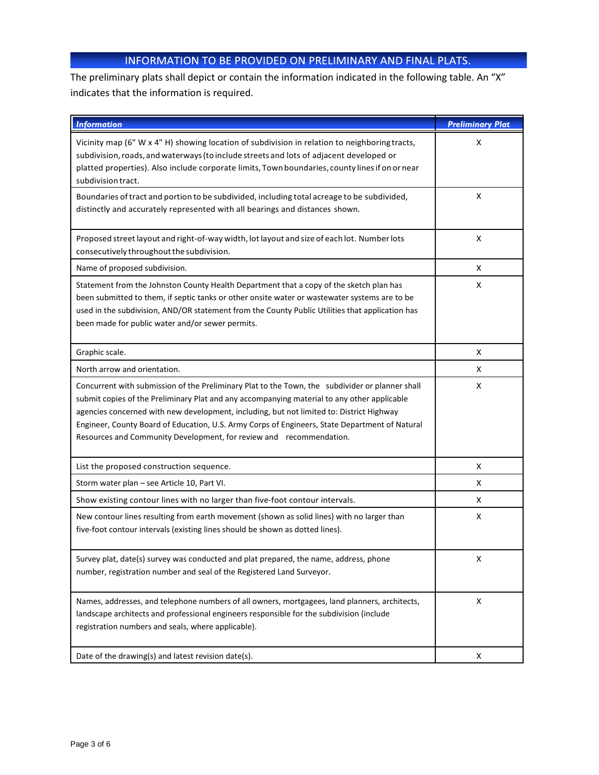## INFORMATION TO BE PROVIDED ON PRELIMINARY AND FINAL PLATS.

The preliminary plats shall depict or contain the information indicated in the following table. An "X" indicates that the information is required.

| <b>Information</b>                                                                                                                                                                                                                                                                                                                                                                                                                                                  | <b>Preliminary Plat</b> |
|---------------------------------------------------------------------------------------------------------------------------------------------------------------------------------------------------------------------------------------------------------------------------------------------------------------------------------------------------------------------------------------------------------------------------------------------------------------------|-------------------------|
| Vicinity map (6" W x 4" H) showing location of subdivision in relation to neighboring tracts,<br>subdivision, roads, and waterways (to include streets and lots of adjacent developed or<br>platted properties). Also include corporate limits, Town boundaries, county lines if on or near<br>subdivision tract.                                                                                                                                                   | x                       |
| Boundaries of tract and portion to be subdivided, including total acreage to be subdivided,<br>distinctly and accurately represented with all bearings and distances shown.                                                                                                                                                                                                                                                                                         | X                       |
| Proposed street layout and right-of-way width, lot layout and size of each lot. Number lots<br>consecutively throughout the subdivision.                                                                                                                                                                                                                                                                                                                            | X                       |
| Name of proposed subdivision.                                                                                                                                                                                                                                                                                                                                                                                                                                       | X                       |
| Statement from the Johnston County Health Department that a copy of the sketch plan has<br>been submitted to them, if septic tanks or other onsite water or wastewater systems are to be<br>used in the subdivision, AND/OR statement from the County Public Utilities that application has<br>been made for public water and/or sewer permits.                                                                                                                     | X                       |
| Graphic scale.                                                                                                                                                                                                                                                                                                                                                                                                                                                      | X                       |
| North arrow and orientation.                                                                                                                                                                                                                                                                                                                                                                                                                                        | X                       |
| Concurrent with submission of the Preliminary Plat to the Town, the subdivider or planner shall<br>submit copies of the Preliminary Plat and any accompanying material to any other applicable<br>agencies concerned with new development, including, but not limited to: District Highway<br>Engineer, County Board of Education, U.S. Army Corps of Engineers, State Department of Natural<br>Resources and Community Development, for review and recommendation. | x                       |
| List the proposed construction sequence.                                                                                                                                                                                                                                                                                                                                                                                                                            | X                       |
| Storm water plan - see Article 10, Part VI.                                                                                                                                                                                                                                                                                                                                                                                                                         | X                       |
| Show existing contour lines with no larger than five-foot contour intervals.                                                                                                                                                                                                                                                                                                                                                                                        | X                       |
| New contour lines resulting from earth movement (shown as solid lines) with no larger than<br>five-foot contour intervals (existing lines should be shown as dotted lines).                                                                                                                                                                                                                                                                                         | X                       |
| Survey plat, date(s) survey was conducted and plat prepared, the name, address, phone<br>number, registration number and seal of the Registered Land Surveyor.                                                                                                                                                                                                                                                                                                      | Χ                       |
| Names, addresses, and telephone numbers of all owners, mortgagees, land planners, architects,<br>landscape architects and professional engineers responsible for the subdivision (include<br>registration numbers and seals, where applicable).                                                                                                                                                                                                                     | X                       |
| Date of the drawing(s) and latest revision date(s).                                                                                                                                                                                                                                                                                                                                                                                                                 | x                       |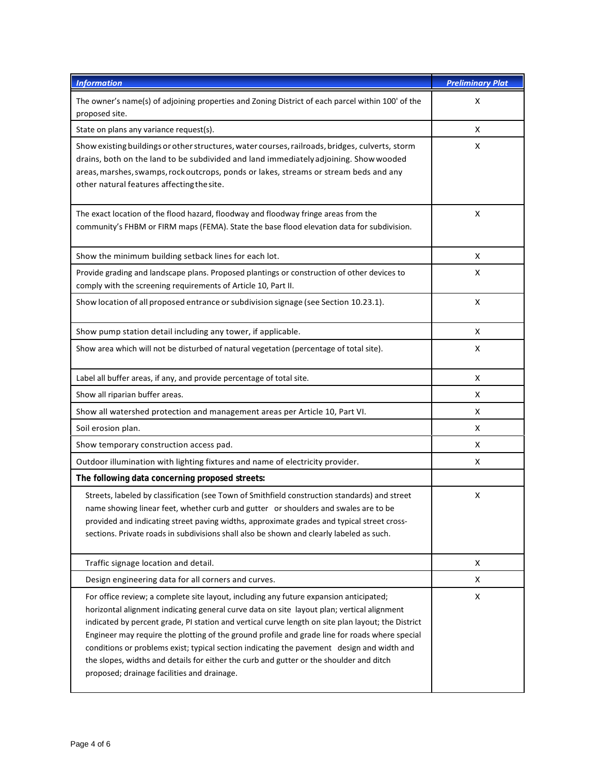| <b>Information</b>                                                                                                                                                                                                                                                                                                                                                                                                                                                                                                                                                                                                                   | <b>Preliminary Plat</b> |
|--------------------------------------------------------------------------------------------------------------------------------------------------------------------------------------------------------------------------------------------------------------------------------------------------------------------------------------------------------------------------------------------------------------------------------------------------------------------------------------------------------------------------------------------------------------------------------------------------------------------------------------|-------------------------|
| The owner's name(s) of adjoining properties and Zoning District of each parcel within 100' of the<br>proposed site.                                                                                                                                                                                                                                                                                                                                                                                                                                                                                                                  | X                       |
| State on plans any variance request(s).                                                                                                                                                                                                                                                                                                                                                                                                                                                                                                                                                                                              | x                       |
| Show existing buildings or other structures, water courses, railroads, bridges, culverts, storm<br>drains, both on the land to be subdivided and land immediately adjoining. Show wooded<br>areas, marshes, swamps, rock outcrops, ponds or lakes, streams or stream beds and any<br>other natural features affecting the site.                                                                                                                                                                                                                                                                                                      | X                       |
| The exact location of the flood hazard, floodway and floodway fringe areas from the<br>community's FHBM or FIRM maps (FEMA). State the base flood elevation data for subdivision.                                                                                                                                                                                                                                                                                                                                                                                                                                                    | X                       |
| Show the minimum building setback lines for each lot.                                                                                                                                                                                                                                                                                                                                                                                                                                                                                                                                                                                | X                       |
| Provide grading and landscape plans. Proposed plantings or construction of other devices to<br>comply with the screening requirements of Article 10, Part II.                                                                                                                                                                                                                                                                                                                                                                                                                                                                        | X                       |
| Show location of all proposed entrance or subdivision signage (see Section 10.23.1).                                                                                                                                                                                                                                                                                                                                                                                                                                                                                                                                                 | X                       |
| Show pump station detail including any tower, if applicable.                                                                                                                                                                                                                                                                                                                                                                                                                                                                                                                                                                         | X                       |
| Show area which will not be disturbed of natural vegetation (percentage of total site).                                                                                                                                                                                                                                                                                                                                                                                                                                                                                                                                              | X                       |
| Label all buffer areas, if any, and provide percentage of total site.                                                                                                                                                                                                                                                                                                                                                                                                                                                                                                                                                                | X                       |
| Show all riparian buffer areas.                                                                                                                                                                                                                                                                                                                                                                                                                                                                                                                                                                                                      | X                       |
| Show all watershed protection and management areas per Article 10, Part VI.                                                                                                                                                                                                                                                                                                                                                                                                                                                                                                                                                          | X                       |
| Soil erosion plan.                                                                                                                                                                                                                                                                                                                                                                                                                                                                                                                                                                                                                   | Χ                       |
| Show temporary construction access pad.                                                                                                                                                                                                                                                                                                                                                                                                                                                                                                                                                                                              | X                       |
| Outdoor illumination with lighting fixtures and name of electricity provider.                                                                                                                                                                                                                                                                                                                                                                                                                                                                                                                                                        | X                       |
| The following data concerning proposed streets:                                                                                                                                                                                                                                                                                                                                                                                                                                                                                                                                                                                      |                         |
| Streets, labeled by classification (see Town of Smithfield construction standards) and street<br>name showing linear feet, whether curb and gutter or shoulders and swales are to be<br>provided and indicating street paving widths, approximate grades and typical street cross-<br>sections. Private roads in subdivisions shall also be shown and clearly labeled as such.                                                                                                                                                                                                                                                       | X                       |
| Traffic signage location and detail.                                                                                                                                                                                                                                                                                                                                                                                                                                                                                                                                                                                                 | Χ                       |
| Design engineering data for all corners and curves.                                                                                                                                                                                                                                                                                                                                                                                                                                                                                                                                                                                  | X                       |
| For office review; a complete site layout, including any future expansion anticipated;<br>horizontal alignment indicating general curve data on site layout plan; vertical alignment<br>indicated by percent grade, PI station and vertical curve length on site plan layout; the District<br>Engineer may require the plotting of the ground profile and grade line for roads where special<br>conditions or problems exist; typical section indicating the pavement design and width and<br>the slopes, widths and details for either the curb and gutter or the shoulder and ditch<br>proposed; drainage facilities and drainage. | X                       |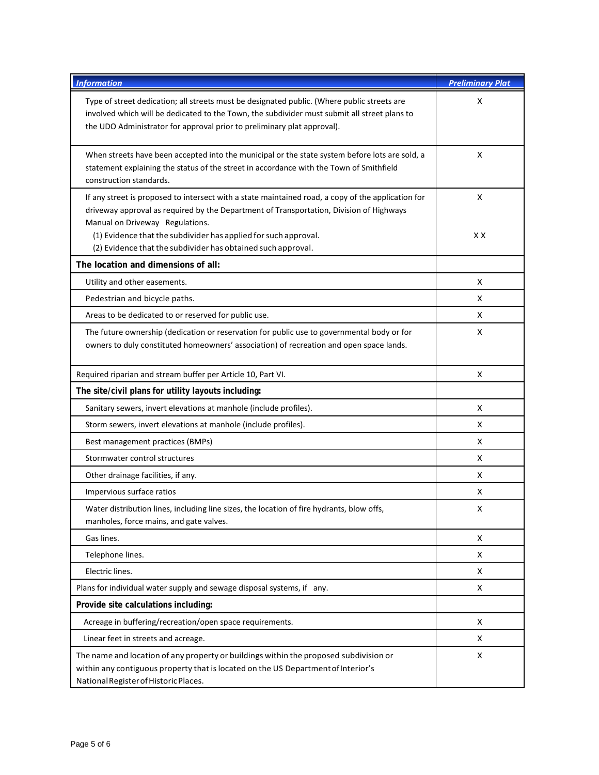| <b>Information</b>                                                                                                                                                                                                                                                                                  | <b>Preliminary Plat</b> |
|-----------------------------------------------------------------------------------------------------------------------------------------------------------------------------------------------------------------------------------------------------------------------------------------------------|-------------------------|
| Type of street dedication; all streets must be designated public. (Where public streets are<br>involved which will be dedicated to the Town, the subdivider must submit all street plans to<br>the UDO Administrator for approval prior to preliminary plat approval).                              | X                       |
| When streets have been accepted into the municipal or the state system before lots are sold, a<br>statement explaining the status of the street in accordance with the Town of Smithfield<br>construction standards.                                                                                | X                       |
| If any street is proposed to intersect with a state maintained road, a copy of the application for<br>driveway approval as required by the Department of Transportation, Division of Highways<br>Manual on Driveway Regulations.<br>(1) Evidence that the subdivider has applied for such approval. | X<br>XХ                 |
| (2) Evidence that the subdivider has obtained such approval.                                                                                                                                                                                                                                        |                         |
| The location and dimensions of all:                                                                                                                                                                                                                                                                 |                         |
| Utility and other easements.                                                                                                                                                                                                                                                                        | X                       |
| Pedestrian and bicycle paths.<br>Areas to be dedicated to or reserved for public use.                                                                                                                                                                                                               | X<br>X                  |
| The future ownership (dedication or reservation for public use to governmental body or for<br>owners to duly constituted homeowners' association) of recreation and open space lands.                                                                                                               | X                       |
| Required riparian and stream buffer per Article 10, Part VI.                                                                                                                                                                                                                                        | X                       |
| The site/civil plans for utility layouts including:                                                                                                                                                                                                                                                 |                         |
| Sanitary sewers, invert elevations at manhole (include profiles).                                                                                                                                                                                                                                   | X                       |
| Storm sewers, invert elevations at manhole (include profiles).                                                                                                                                                                                                                                      | X                       |
| Best management practices (BMPs)                                                                                                                                                                                                                                                                    | X                       |
| Stormwater control structures                                                                                                                                                                                                                                                                       | X                       |
| Other drainage facilities, if any.                                                                                                                                                                                                                                                                  | X                       |
| Impervious surface ratios                                                                                                                                                                                                                                                                           | X                       |
| Water distribution lines, including line sizes, the location of fire hydrants, blow offs,<br>manholes, force mains, and gate valves.                                                                                                                                                                | x                       |
| Gas lines.                                                                                                                                                                                                                                                                                          | x                       |
| Telephone lines.                                                                                                                                                                                                                                                                                    | X                       |
| Electric lines.                                                                                                                                                                                                                                                                                     | X                       |
| Plans for individual water supply and sewage disposal systems, if any.                                                                                                                                                                                                                              | X                       |
| Provide site calculations including:                                                                                                                                                                                                                                                                |                         |
| Acreage in buffering/recreation/open space requirements.                                                                                                                                                                                                                                            | X                       |
| Linear feet in streets and acreage.                                                                                                                                                                                                                                                                 | X                       |
| The name and location of any property or buildings within the proposed subdivision or<br>within any contiguous property that is located on the US Department of Interior's<br>National Register of Historic Places.                                                                                 | X                       |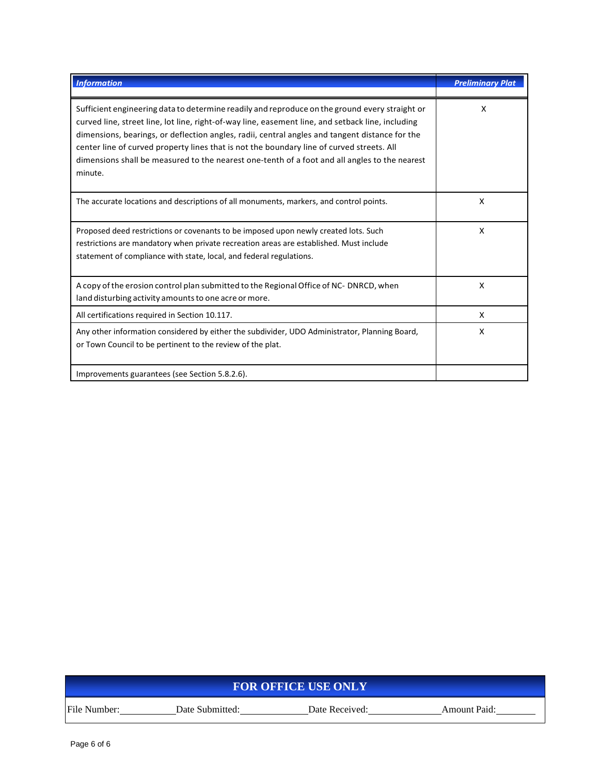| <b>Information</b>                                                                                                                                                                                                                                                                                                                                                                                                                                                                                             | <b>Preliminary Plat</b> |
|----------------------------------------------------------------------------------------------------------------------------------------------------------------------------------------------------------------------------------------------------------------------------------------------------------------------------------------------------------------------------------------------------------------------------------------------------------------------------------------------------------------|-------------------------|
| Sufficient engineering data to determine readily and reproduce on the ground every straight or<br>curved line, street line, lot line, right-of-way line, easement line, and setback line, including<br>dimensions, bearings, or deflection angles, radii, central angles and tangent distance for the<br>center line of curved property lines that is not the boundary line of curved streets. All<br>dimensions shall be measured to the nearest one-tenth of a foot and all angles to the nearest<br>minute. | X                       |
| The accurate locations and descriptions of all monuments, markers, and control points.                                                                                                                                                                                                                                                                                                                                                                                                                         | X                       |
| Proposed deed restrictions or covenants to be imposed upon newly created lots. Such<br>restrictions are mandatory when private recreation areas are established. Must include<br>statement of compliance with state, local, and federal regulations.                                                                                                                                                                                                                                                           | X                       |
| A copy of the erosion control plan submitted to the Regional Office of NC- DNRCD, when<br>land disturbing activity amounts to one acre or more.                                                                                                                                                                                                                                                                                                                                                                | X                       |
| All certifications required in Section 10.117.                                                                                                                                                                                                                                                                                                                                                                                                                                                                 | X                       |
| Any other information considered by either the subdivider, UDO Administrator, Planning Board,<br>or Town Council to be pertinent to the review of the plat.                                                                                                                                                                                                                                                                                                                                                    | X                       |
| Improvements guarantees (see Section 5.8.2.6).                                                                                                                                                                                                                                                                                                                                                                                                                                                                 |                         |

| <b>FOR OFFICE USE ONLY</b> |                 |                |                     |
|----------------------------|-----------------|----------------|---------------------|
| File Number:               | Date Submitted: | Date Received: | <b>Amount Paid:</b> |